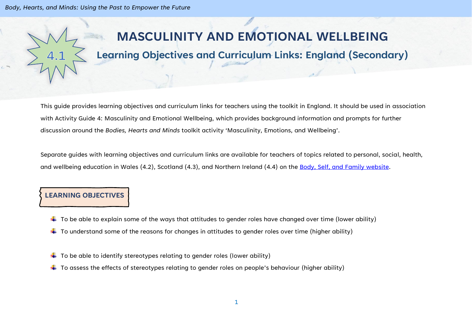*Body, Hearts, and Minds: Using the Past to Empower the Future*

# **MASCULINITY AND EMOTIONAL WELLBEING**

# **Learning Objectives and Curriculum Links: England (Secondary)**

This guide provides learning objectives and curriculum links for teachers using the toolkit in England. It should be used in association with Activity Guide 4: Masculinity and Emotional Wellbeing, which provides background information and prompts for further discussion around the *Bodies, Hearts and Minds* toolkit activity 'Masculinity, Emotions, and Wellbeing'.

Separate guides with learning objectives and curriculum links are available for teachers of topics related to personal, social, health, and wellbeing education in Wales (4.2), Scotland (4.3), and Northern Ireland (4.4) on the [Body, Self, and Family website.](https://bodyselffamily.org/)

#### **LEARNING OBJECTIVES**

- $\downarrow$  To be able to explain some of the ways that attitudes to gender roles have changed over time (lower ability)
- $\downarrow$  To understand some of the reasons for changes in attitudes to gender roles over time (higher ability)
- $\downarrow$  To be able to identify stereotypes relating to gender roles (lower ability)
- $\ddotplus$  To assess the effects of stereotypes relating to gender roles on people's behaviour (higher ability)